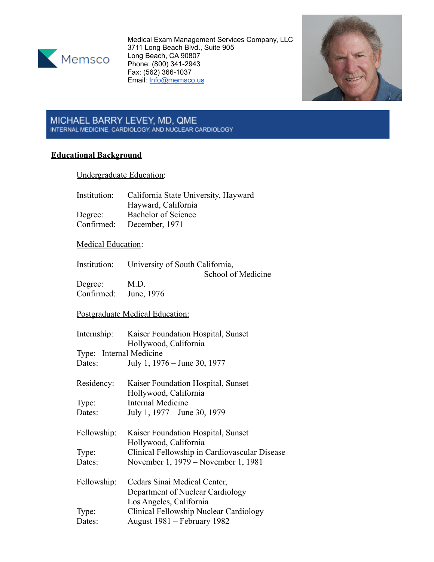

Medical Exam Management Services Company, LLC 3711 Long Beach Blvd., Suite 905 Long Beach, CA 90807 Phone: (800) 341-2943 Fax: (562) 366-1037 Email: [Info@memsco.us](mailto:Info@memsco.us)



# MICHAEL BARRY LEVEY, MD, QME<br>INTERNAL MEDICINE, CARDIOLOGY, AND NUCLEAR CARDIOLOGY

# **Educational Background**

Undergraduate Education:

| Institution:              | California State University, Hayward        |
|---------------------------|---------------------------------------------|
|                           | Hayward, California                         |
| Degree:                   | Bachelor of Science                         |
|                           | Confirmed: December, 1971                   |
| <b>Medical Education:</b> |                                             |
|                           | Institution: Iniversity of South California |

Institution: University of South California, School of Medicine

Degree: M.D.<br>Confirmed: June, 1976 Confirmed:

Postgraduate Medical Education:

| Internship:             | Kaiser Foundation Hospital, Sunset            |
|-------------------------|-----------------------------------------------|
|                         | Hollywood, California                         |
| Type: Internal Medicine |                                               |
| Dates:                  | July 1, 1976 – June 30, 1977                  |
| Residency:              | Kaiser Foundation Hospital, Sunset            |
|                         | Hollywood, California                         |
| Type:                   | Internal Medicine                             |
| Dates:                  | July 1, 1977 – June 30, 1979                  |
| Fellowship:             | Kaiser Foundation Hospital, Sunset            |
|                         | Hollywood, California                         |
| Type:                   | Clinical Fellowship in Cardiovascular Disease |
| Dates:                  | November 1, 1979 – November 1, 1981           |
| Fellowship:             | Cedars Sinai Medical Center,                  |
|                         | Department of Nuclear Cardiology              |
|                         | Los Angeles, California                       |
| Type:                   | Clinical Fellowship Nuclear Cardiology        |
| Dates:                  | August 1981 – February 1982                   |
|                         |                                               |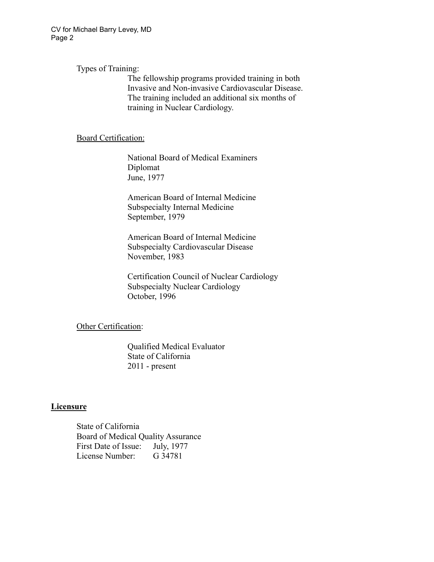CV for Michael Barry Levey, MD Page 2

Types of Training:

The fellowship programs provided training in both Invasive and Non-invasive Cardiovascular Disease. The training included an additional six months of training in Nuclear Cardiology.

#### Board Certification:

National Board of Medical Examiners Diplomat June, 1977

American Board of Internal Medicine Subspecialty Internal Medicine September, 1979

American Board of Internal Medicine Subspecialty Cardiovascular Disease November, 1983

Certification Council of Nuclear Cardiology Subspecialty Nuclear Cardiology October, 1996

**Other Certification:** 

Qualified Medical Evaluator State of California 2011 - present

## **Licensure**

State of California Board of Medical Quality Assurance First Date of Issue: July, 1977 License Number: G 34781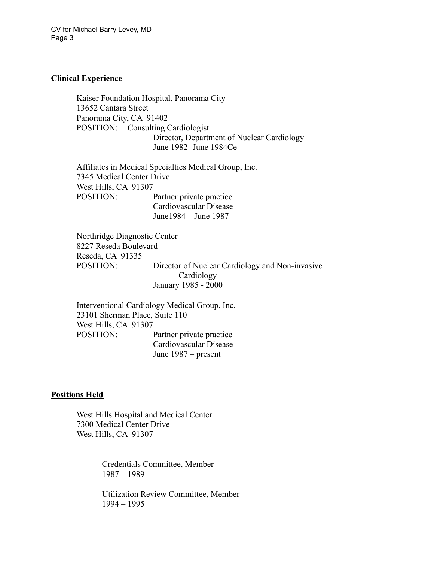## **Clinical Experience**

Kaiser Foundation Hospital, Panorama City 13652 Cantara Street Panorama City, CA 91402 POSITION: Consulting Cardiologist Director, Department of Nuclear Cardiology June 1982- June 1984Ce

Affiliates in Medical Specialties Medical Group, Inc. 7345 Medical Center Drive West Hills, CA 91307 POSITION: Partner private practice Cardiovascular Disease June1984 – June 1987

Northridge Diagnostic Center 8227 Reseda Boulevard Reseda, CA 91335 POSITION: Director of Nuclear Cardiology and Non-invasive **Cardiology** January 1985 - 2000

Interventional Cardiology Medical Group, Inc. 23101 Sherman Place, Suite 110 West Hills, CA 91307 POSITION: Partner private practice Cardiovascular Disease June 1987 – present

#### **Positions Held**

West Hills Hospital and Medical Center 7300 Medical Center Drive West Hills, CA 91307

> Credentials Committee, Member 1987 – 1989

Utilization Review Committee, Member 1994 – 1995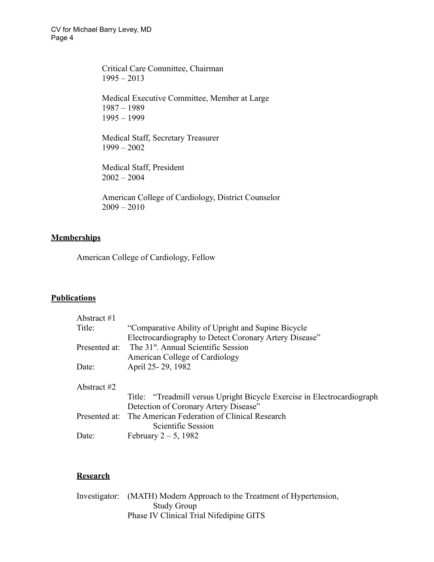Critical Care Committee, Chairman  $1995 - 2013$ 

Medical Executive Committee, Member at Large 1987 – 1989 1995 – 1999

Medical Staff, Secretary Treasurer 1999 – 2002

Medical Staff, President 2002 – 2004

American College of Cardiology, District Counselor  $2009 - 2010$ 

## **Memberships**

American College of Cardiology, Fellow

## **Publications**

| Abstract $#1$ |                                                                         |
|---------------|-------------------------------------------------------------------------|
| Title:        | "Comparative Ability of Upright and Supine Bicycle"                     |
|               | Electrocardiography to Detect Coronary Artery Disease"                  |
| Presented at: | The 31 <sup>st</sup> . Annual Scientific Session                        |
|               | American College of Cardiology                                          |
| Date:         | April 25-29, 1982                                                       |
| Abstract #2   |                                                                         |
|               | Title: "Treadmill versus Upright Bicycle Exercise in Electrocardiograph |
|               | Detection of Coronary Artery Disease"                                   |
|               | Presented at: The American Federation of Clinical Research              |
|               | Scientific Session                                                      |
| Date:         | February $2-5$ , 1982                                                   |

## **Research**

Investigator: (MATH) Modern Approach to the Treatment of Hypertension, Study Group Phase IV Clinical Trial Nifedipine GITS